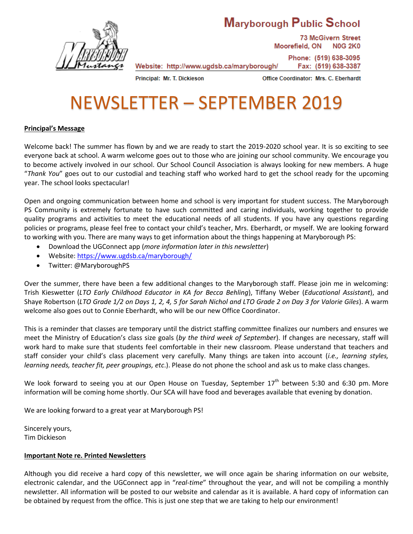# Maryborough Public School



**73 McGivern Street** Moorefield, ON **N0G 2K0** Phone: (519) 638-3095

Fax: (519) 638-3387

Principal: Mr. T. Dickieson

Office Coordinator: Mrs. C. Eberhardt

# NEWSLETTER – SEPTEMBER 2019

Website: http://www.ugdsb.ca/maryborough/

# **Principal's Message**

Welcome back! The summer has flown by and we are ready to start the 2019-2020 school year. It is so exciting to see everyone back at school. A warm welcome goes out to those who are joining our school community. We encourage you to become actively involved in our school. Our School Council Association is always looking for new members. A huge "*Thank You*" goes out to our custodial and teaching staff who worked hard to get the school ready for the upcoming year. The school looks spectacular!

Open and ongoing communication between home and school is very important for student success. The Maryborough PS Community is extremely fortunate to have such committed and caring individuals, working together to provide quality programs and activities to meet the educational needs of all students. If you have any questions regarding policies or programs, please feel free to contact your child's teacher, Mrs. Eberhardt, or myself. We are looking forward to working with you. There are many ways to get information about the things happening at Maryborough PS:

- Download the UGConnect app (*more information later in this newsletter*)
- Website[: https://www.ugdsb.ca/maryborough/](https://www.ugdsb.ca/maryborough/)
- Twitter: @MaryboroughPS

Over the summer, there have been a few additional changes to the Maryborough staff. Please join me in welcoming: Trish Kieswetter (*LTO Early Childhood Educator in KA for Becca Behling*), Tiffany Weber (*Educational Assistant*), and Shaye Robertson (*LTO Grade 1/2 on Days 1, 2, 4, 5 for Sarah Nichol and LTO Grade 2 on Day 3 for Valorie Giles*). A warm welcome also goes out to Connie Eberhardt, who will be our new Office Coordinator.

This is a reminder that classes are temporary until the district staffing committee finalizes our numbers and ensures we meet the Ministry of Education's class size goals (*by the third week of September*). If changes are necessary, staff will work hard to make sure that students feel comfortable in their new classroom. Please understand that teachers and staff consider your child's class placement very carefully. Many things are taken into account (*i.e., learning styles, learning needs, teacher fit, peer groupings, etc*.). Please do not phone the school and ask us to make class changes.

We look forward to seeing you at our Open House on Tuesday, September 17<sup>th</sup> between 5:30 and 6:30 pm. More information will be coming home shortly. Our SCA will have food and beverages available that evening by donation.

We are looking forward to a great year at Maryborough PS!

Sincerely yours, Tim Dickieson

#### **Important Note re. Printed Newsletters**

Although you did receive a hard copy of this newsletter, we will once again be sharing information on our website, electronic calendar, and the UGConnect app in "*real-time*" throughout the year, and will not be compiling a monthly newsletter. All information will be posted to our website and calendar as it is available. A hard copy of information can be obtained by request from the office. This is just one step that we are taking to help our environment!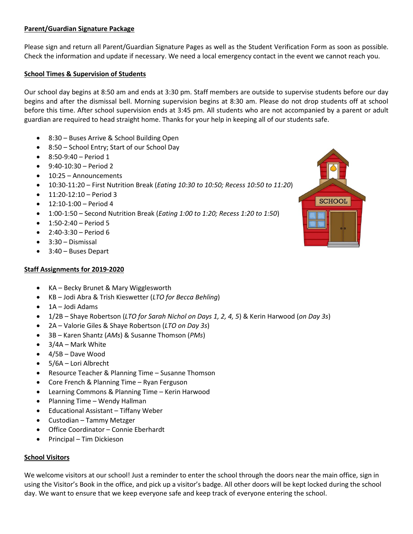# **Parent/Guardian Signature Package**

Please sign and return all Parent/Guardian Signature Pages as well as the Student Verification Form as soon as possible. Check the information and update if necessary. We need a local emergency contact in the event we cannot reach you.

#### **School Times & Supervision of Students**

Our school day begins at 8:50 am and ends at 3:30 pm. Staff members are outside to supervise students before our day begins and after the dismissal bell. Morning supervision begins at 8:30 am. Please do not drop students off at school before this time. After school supervision ends at 3:45 pm. All students who are not accompanied by a parent or adult guardian are required to head straight home. Thanks for your help in keeping all of our students safe.

- 8:30 Buses Arrive & School Building Open
- 8:50 School Entry; Start of our School Day
- 8:50-9:40 Period 1
- $9:40-10:30 Period 2$
- 10:25 Announcements
- 10:30-11:20 First Nutrition Break (*Eating 10:30 to 10:50; Recess 10:50 to 11:20*)
- 11:20-12:10 Period 3
- 12:10-1:00 Period 4
- 1:00-1:50 Second Nutrition Break (*Eating 1:00 to 1:20; Recess 1:20 to 1:50*)
- 1:50-2:40 Period 5
- 2:40-3:30 Period 6
- 3:30 Dismissal
- 3:40 Buses Depart

# **Staff Assignments for 2019-2020**

- KA Becky Brunet & Mary Wigglesworth
- KB Jodi Abra & Trish Kieswetter (*LTO for Becca Behling*)
- 1A Jodi Adams
- 1/2B Shaye Robertson (*LTO for Sarah Nichol on Days 1, 2, 4, 5*) & Kerin Harwood (*on Day 3s*)
- 2A Valorie Giles & Shaye Robertson (*LTO on Day 3s*)
- 3B Karen Shantz (*AMs*) & Susanne Thomson (*PMs*)
- $\bullet$  3/4A Mark White
- 4/5B Dave Wood
- 5/6A Lori Albrecht
- Resource Teacher & Planning Time Susanne Thomson
- Core French & Planning Time Ryan Ferguson
- Learning Commons & Planning Time Kerin Harwood
- Planning Time Wendy Hallman
- Educational Assistant Tiffany Weber
- Custodian Tammy Metzger
- Office Coordinator Connie Eberhardt
- Principal Tim Dickieson

#### **School Visitors**

We welcome visitors at our school! Just a reminder to enter the school through the doors near the main office, sign in using the Visitor's Book in the office, and pick up a visitor's badge. All other doors will be kept locked during the school day. We want to ensure that we keep everyone safe and keep track of everyone entering the school.

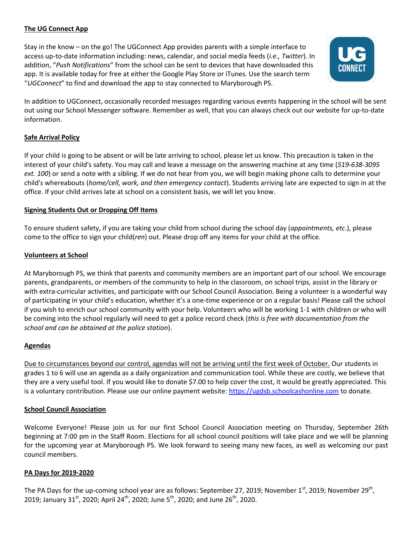# **The UG Connect App**

Stay in the know – on the go! The UGConnect App provides parents with a simple interface to access up-to-date information including: news, calendar, and social media feeds (*i.e., Twitter*). In addition, "*Push Notifications*" from the school can be sent to devices that have downloaded this app. It is available today for free at either the Google Play Store or iTunes. Use the search term "*UGConnect*" to find and download the app to stay connected to Maryborough PS.



In addition to UGConnect, occasionally recorded messages regarding various events happening in the school will be sent out using our School Messenger software. Remember as well, that you can always check out our website for up-to-date information.

# **Safe Arrival Policy**

If your child is going to be absent or will be late arriving to school, please let us know. This precaution is taken in the interest of your child's safety. You may call and leave a message on the answering machine at any time (*519-638-3095 ext. 100*) or send a note with a sibling. If we do not hear from you, we will begin making phone calls to determine your child's whereabouts (*home/cell, work, and then emergency contact*). Students arriving late are expected to sign in at the office. If your child arrives late at school on a consistent basis, we will let you know.

# **Signing Students Out or Dropping Off Items**

To ensure student safety, if you are taking your child from school during the school day (*appointments, etc*.), please come to the office to sign your child(*ren*) out. Please drop off any items for your child at the office.

# **Volunteers at School**

At Maryborough PS, we think that parents and community members are an important part of our school. We encourage parents, grandparents, or members of the community to help in the classroom, on school trips, assist in the library or with extra-curricular activities, and participate with our School Council Association. Being a volunteer is a wonderful way of participating in your child's education, whether it's a one-time experience or on a regular basis! Please call the school if you wish to enrich our school community with your help. Volunteers who will be working 1-1 with children or who will be coming into the school regularly will need to get a police record check (*this is free with documentation from the school and can be obtained at the police station*).

# **Agendas**

Due to circumstances beyond our control, agendas will not be arriving until the first week of October. Our students in grades 1 to 6 will use an agenda as a daily organization and communication tool. While these are costly, we believe that they are a very useful tool. If you would like to donate \$7.00 to help cover the cost, it would be greatly appreciated. This is a voluntary contribution. Please use our online payment website: [https://ugdsb.schoolcashonline.com](https://ugdsb.schoolcashonline.com/) to donate.

#### **School Council Association**

Welcome Everyone! Please join us for our first School Council Association meeting on Thursday, September 26th beginning at 7:00 pm in the Staff Room. Elections for all school council positions will take place and we will be planning for the upcoming year at Maryborough PS. We look forward to seeing many new faces, as well as welcoming our past council members.

#### **PA Days for 2019-2020**

The PA Days for the up-coming school year are as follows: September 27, 2019; November 1<sup>st</sup>, 2019; November 29<sup>th</sup>, 2019; January 31<sup>st</sup>, 2020; April 24<sup>th</sup>, 2020; June 5<sup>th</sup>, 2020; and June 26<sup>th</sup>, 2020.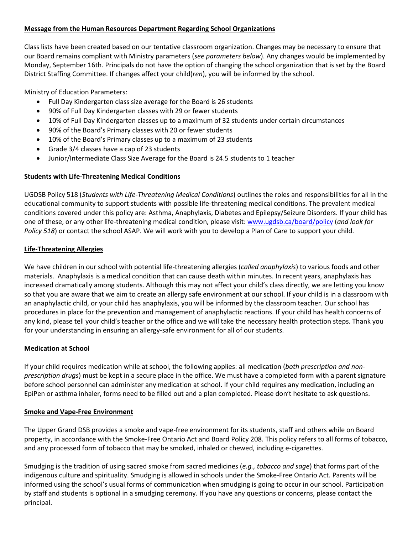# **Message from the Human Resources Department Regarding School Organizations**

Class lists have been created based on our tentative classroom organization. Changes may be necessary to ensure that our Board remains compliant with Ministry parameters (*see parameters below*). Any changes would be implemented by Monday, September 16th. Principals do not have the option of changing the school organization that is set by the Board District Staffing Committee. If changes affect your child(*ren*), you will be informed by the school.

Ministry of Education Parameters:

- Full Day Kindergarten class size average for the Board is 26 students
- 90% of Full Day Kindergarten classes with 29 or fewer students
- 10% of Full Day Kindergarten classes up to a maximum of 32 students under certain circumstances
- 90% of the Board's Primary classes with 20 or fewer students
- 10% of the Board's Primary classes up to a maximum of 23 students
- Grade 3/4 classes have a cap of 23 students
- Junior/Intermediate Class Size Average for the Board is 24.5 students to 1 teacher

# **Students with Life-Threatening Medical Conditions**

UGDSB Policy 518 (*Students with Life-Threatening Medical Conditions*) outlines the roles and responsibilities for all in the educational community to support students with possible life-threatening medical conditions. The prevalent medical conditions covered under this policy are: Asthma, Anaphylaxis, Diabetes and Epilepsy/Seizure Disorders. If your child has one of these, or any other life-threatening medical condition, please visit: [www.ugdsb.ca/board/policy](http://www.ugdsb.ca/board/policy) (*and look for Policy 518*) or contact the school ASAP. We will work with you to develop a Plan of Care to support your child.

# **Life-Threatening Allergies**

We have children in our school with potential life-threatening allergies (*called anaphylaxis*) to various foods and other materials. Anaphylaxis is a medical condition that can cause death within minutes. In recent years, anaphylaxis has increased dramatically among students. Although this may not affect your child's class directly, we are letting you know so that you are aware that we aim to create an allergy safe environment at our school. If your child is in a classroom with an anaphylactic child, or your child has anaphylaxis, you will be informed by the classroom teacher. Our school has procedures in place for the prevention and management of anaphylactic reactions. If your child has health concerns of any kind, please tell your child's teacher or the office and we will take the necessary health protection steps. Thank you for your understanding in ensuring an allergy-safe environment for all of our students.

# **Medication at School**

If your child requires medication while at school, the following applies: all medication (*both prescription and nonprescription drugs*) must be kept in a secure place in the office. We must have a completed form with a parent signature before school personnel can administer any medication at school. If your child requires any medication, including an EpiPen or asthma inhaler, forms need to be filled out and a plan completed. Please don't hesitate to ask questions.

# **Smoke and Vape-Free Environment**

The Upper Grand DSB provides a smoke and vape-free environment for its students, staff and others while on Board property, in accordance with the Smoke-Free Ontario Act and Board Policy 208. This policy refers to all forms of tobacco, and any processed form of tobacco that may be smoked, inhaled or chewed, including e-cigarettes.

Smudging is the tradition of using sacred smoke from sacred medicines (*e.g., tobacco and sage*) that forms part of the indigenous culture and spirituality. Smudging is allowed in schools under the Smoke-Free Ontario Act. Parents will be informed using the school's usual forms of communication when smudging is going to occur in our school. Participation by staff and students is optional in a smudging ceremony. If you have any questions or concerns, please contact the principal.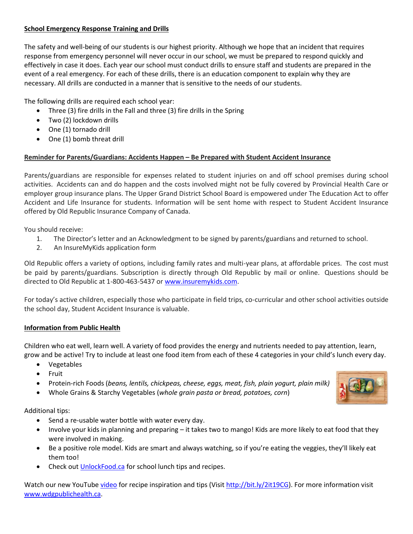# **School Emergency Response Training and Drills**

The safety and well-being of our students is our highest priority. Although we hope that an incident that requires response from emergency personnel will never occur in our school, we must be prepared to respond quickly and effectively in case it does. Each year our school must conduct drills to ensure staff and students are prepared in the event of a real emergency. For each of these drills, there is an education component to explain why they are necessary. All drills are conducted in a manner that is sensitive to the needs of our students.

The following drills are required each school year:

- Three (3) fire drills in the Fall and three (3) fire drills in the Spring
- Two (2) lockdown drills
- One (1) tornado drill
- One (1) bomb threat drill

# **Reminder for Parents/Guardians: Accidents Happen – Be Prepared with Student Accident Insurance**

Parents/guardians are responsible for expenses related to student injuries on and off school premises during school activities. Accidents can and do happen and the costs involved might not be fully covered by Provincial Health Care or employer group insurance plans. The Upper Grand District School Board is empowered under The Education Act to offer Accident and Life Insurance for students. Information will be sent home with respect to Student Accident Insurance offered by Old Republic Insurance Company of Canada.

You should receive:

- 1. The Director's letter and an Acknowledgment to be signed by parents/guardians and returned to school.
- 2. An InsureMyKids application form

Old Republic offers a variety of options, including family rates and multi-year plans, at affordable prices. The cost must be paid by parents/guardians. Subscription is directly through Old Republic by mail or online. Questions should be directed to Old Republic at 1-800-463-5437 or [www.insuremykids.com.](http://www.insuremykids.com/)

For today's active children, especially those who participate in field trips, co-curricular and other school activities outside the school day, Student Accident Insurance is valuable.

#### **Information from Public Health**

Children who eat well, learn well. A variety of food provides the energy and nutrients needed to pay attention, learn, grow and be active! Try to include at least one food item from each of these 4 categories in your child's lunch every day.

- Vegetables
- Fruit
- Protein-rich Foods (*beans, lentils, chickpeas, cheese, eggs, meat, fish, plain yogurt, plain milk)*
- Whole Grains & Starchy Vegetables (*whole grain pasta or bread, potatoes, corn*)

Additional tips:

- Send a re-usable water bottle with water every day.
- Involve your kids in planning and preparing it takes two to mango! Kids are more likely to eat food that they were involved in making.
- Be a positive role model. Kids are smart and always watching, so if you're eating the veggies, they'll likely eat them too!
- Check out<UnlockFood.ca> for school lunch tips and recipes.

Watch our new YouTube [video](http://bit.ly/2it19CG) for recipe inspiration and tips (Visit [http://bit.ly/2it19CG\)](http://bit.ly/2it19CG). For more information visit [www.wdgpublichealth.ca.](http://www.wdgpublichealth.ca/)

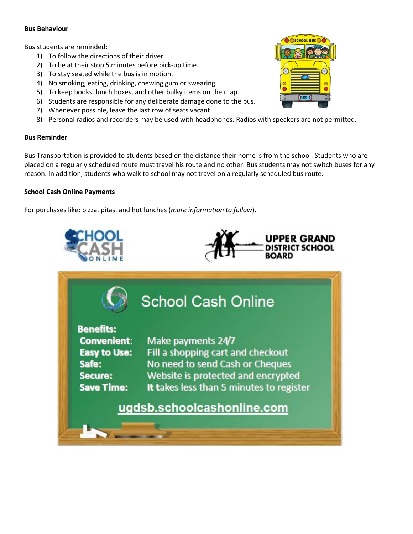#### **Bus Behaviour**

Bus students are reminded:

- 1) To follow the directions of their driver.
- 2) To be at their stop 5 minutes before pick-up time.
- 3) To stay seated while the bus is in motion.
- 4) No smoking, eating, drinking, chewing gum or swearing.
- 5) To keep books, lunch boxes, and other bulky items on their lap.
- 6) Students are responsible for any deliberate damage done to the bus.
- 7) Whenever possible, leave the last row of seats vacant.
- 8) Personal radios and recorders may be used with headphones. Radios with speakers are not permitted.

#### **Bus Reminder**

Bus Transportation is provided to students based on the distance their home is from the school. Students who are placed on a regularly scheduled route must travel his route and no other. Bus students may not switch buses for any reason. In addition, students who walk to school may not travel on a regularly scheduled bus route.

#### **School Cash Online Payments**

For purchases like: pizza, pitas, and hot lunches (*more information to follow*).



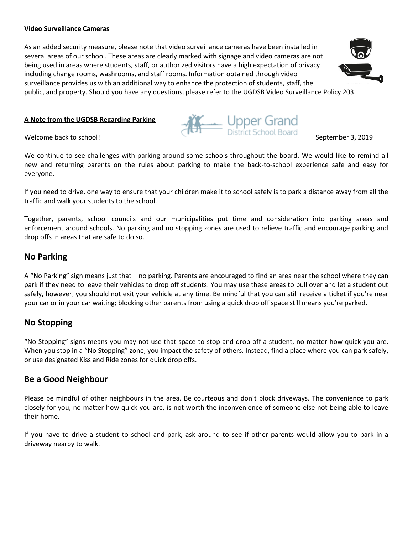#### **Video Surveillance Cameras**

As an added security measure, please note that video surveillance cameras have been installed in several areas of our school. These areas are clearly marked with signage and video cameras are not being used in areas where students, staff, or authorized visitors have a high expectation of privacy including change rooms, washrooms, and staff rooms. Information obtained through video surveillance provides us with an additional way to enhance the protection of students, staff, the public, and property. Should you have any questions, please refer to the UGDSB Video Surveillance Policy 203.

#### **A Note from the UGDSB Regarding Parking**

We continue to see challenges with parking around some schools throughout the board. We would like to remind all new and returning parents on the rules about parking to make the back-to-school experience safe and easy for everyone.

If you need to drive, one way to ensure that your children make it to school safely is to park a distance away from all the traffic and walk your students to the school.

Together, parents, school councils and our municipalities put time and consideration into parking areas and enforcement around schools. No parking and no stopping zones are used to relieve traffic and encourage parking and drop offs in areas that are safe to do so.

# **No Parking**

A "No Parking" sign means just that – no parking. Parents are encouraged to find an area near the school where they can park if they need to leave their vehicles to drop off students. You may use these areas to pull over and let a student out safely, however, you should not exit your vehicle at any time. Be mindful that you can still receive a ticket if you're near your car or in your car waiting; blocking other parents from using a quick drop off space still means you're parked.

# **No Stopping**

"No Stopping" signs means you may not use that space to stop and drop off a student, no matter how quick you are. When you stop in a "No Stopping" zone, you impact the safety of others. Instead, find a place where you can park safely, or use designated Kiss and Ride zones for quick drop offs.

# **Be a Good Neighbour**

Please be mindful of other neighbours in the area. Be courteous and don't block driveways. The convenience to park closely for you, no matter how quick you are, is not worth the inconvenience of someone else not being able to leave their home.

If you have to drive a student to school and park, ask around to see if other parents would allow you to park in a driveway nearby to walk.